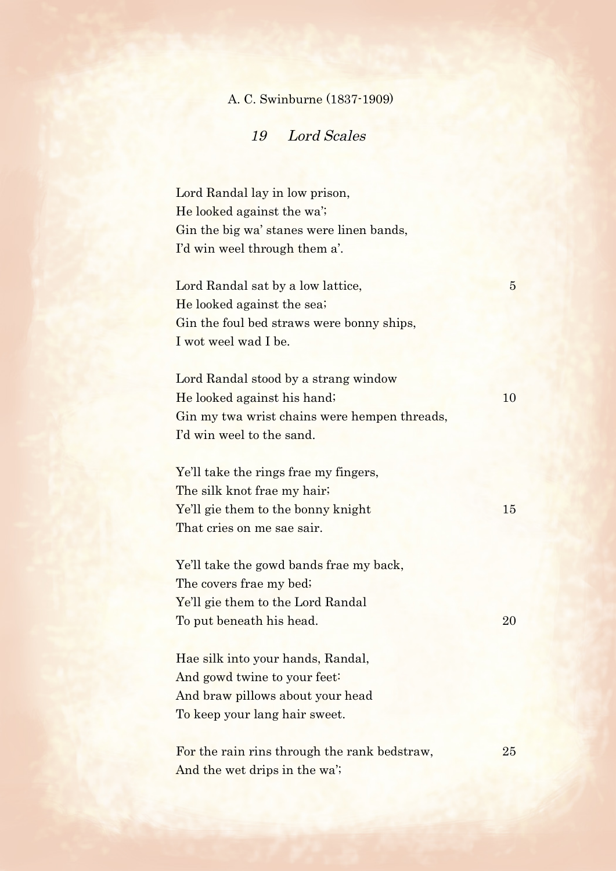## A. C. Swinburne (1837-1909)

19 Lord Scales

Lord Randal lay in low prison, He looked against the wa'; Gin the big wa' stanes were linen bands, I'd win weel through them a'.

Lord Randal sat by a low lattice, 5 He looked against the sea; Gin the foul bed straws were bonny ships, I wot weel wad I be.

Lord Randal stood by a strang window He looked against his hand; 10 Gin my twa wrist chains were hempen threads, I'd win weel to the sand.

Ye'll take the rings frae my fingers, The silk knot frae my hair; Ye'll gie them to the bonny knight 15 That cries on me sae sair.

Ye'll take the gowd bands frae my back, The covers frae my bed; Ye'll gie them to the Lord Randal To put beneath his head. 20

Hae silk into your hands, Randal, And gowd twine to your feet: And braw pillows about your head To keep your lang hair sweet.

For the rain rins through the rank bedstraw, 25 And the wet drips in the wa';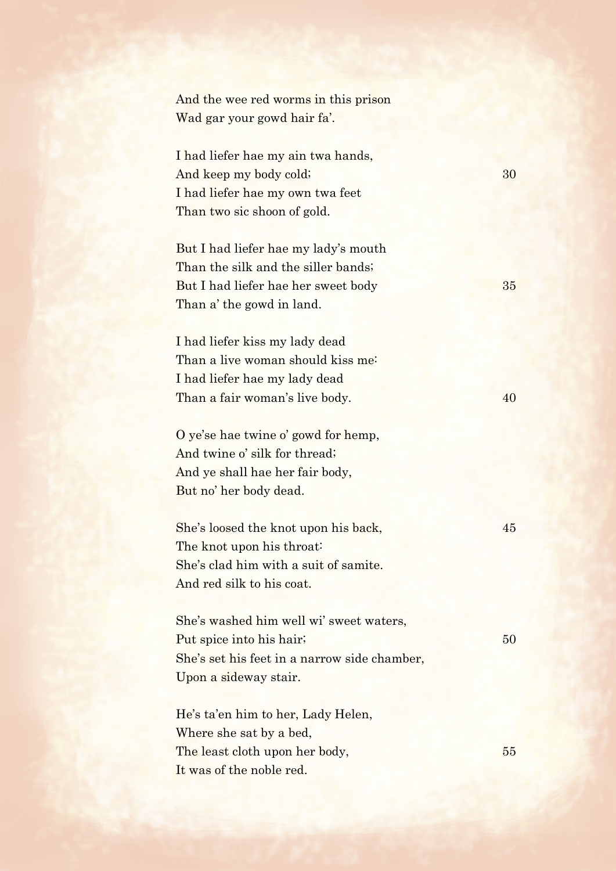And the wee red worms in this prison Wad gar your gowd hair fa'.

I had liefer hae my ain twa hands, And keep my body cold; 30 I had liefer hae my own twa feet Than two sic shoon of gold.

But I had liefer hae my lady's mouth Than the silk and the siller bands; But I had liefer hae her sweet body 35 Than a' the gowd in land.

I had liefer kiss my lady dead Than a live woman should kiss me: I had liefer hae my lady dead Than a fair woman's live body. 40

O ye'se hae twine o' gowd for hemp, And twine o' silk for thread; And ye shall hae her fair body, But no' her body dead.

She's loosed the knot upon his back,  $45$ The knot upon his throat: She's clad him with a suit of samite. And red silk to his coat.

She's washed him well wi' sweet waters, Put spice into his hair; 50 She's set his feet in a narrow side chamber, Upon a sideway stair.

He's ta'en him to her, Lady Helen, Where she sat by a bed, The least cloth upon her body, 55 It was of the noble red.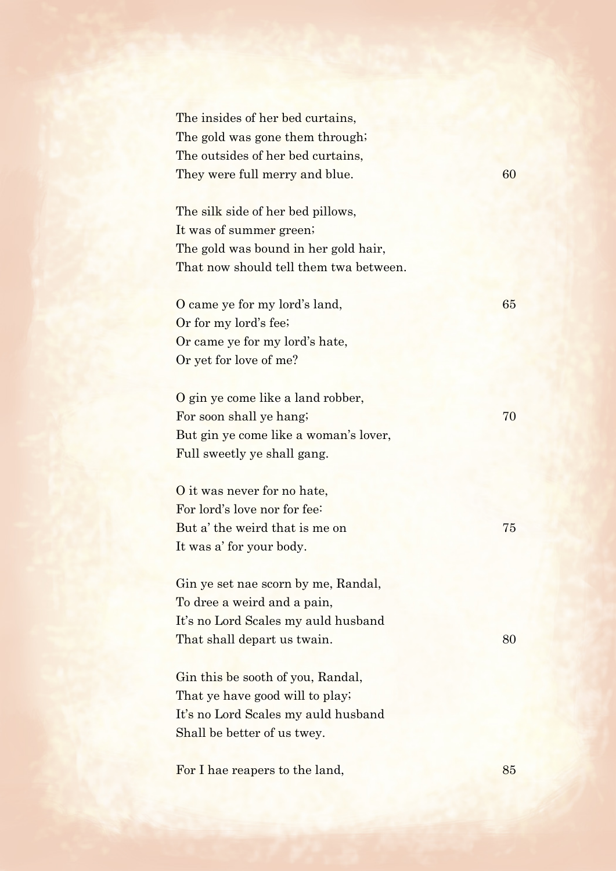The insides of her bed curtains, The gold was gone them through; The outsides of her bed curtains, They were full merry and blue. 60

The silk side of her bed pillows, It was of summer green; The gold was bound in her gold hair, That now should tell them twa between.

O came ye for my lord's land, 65 Or for my lord's fee; Or came ye for my lord's hate, Or yet for love of me?

O gin ye come like a land robber, For soon shall ye hang; 70 But gin ye come like a woman's lover, Full sweetly ye shall gang.

O it was never for no hate, For lord's love nor for fee: But a' the weird that is me on 75 It was a' for your body.

Gin ye set nae scorn by me, Randal, To dree a weird and a pain, It's no Lord Scales my auld husband That shall depart us twain. 80

Gin this be sooth of you, Randal, That ye have good will to play; It's no Lord Scales my auld husband Shall be better of us twey.

For I hae reapers to the land, 85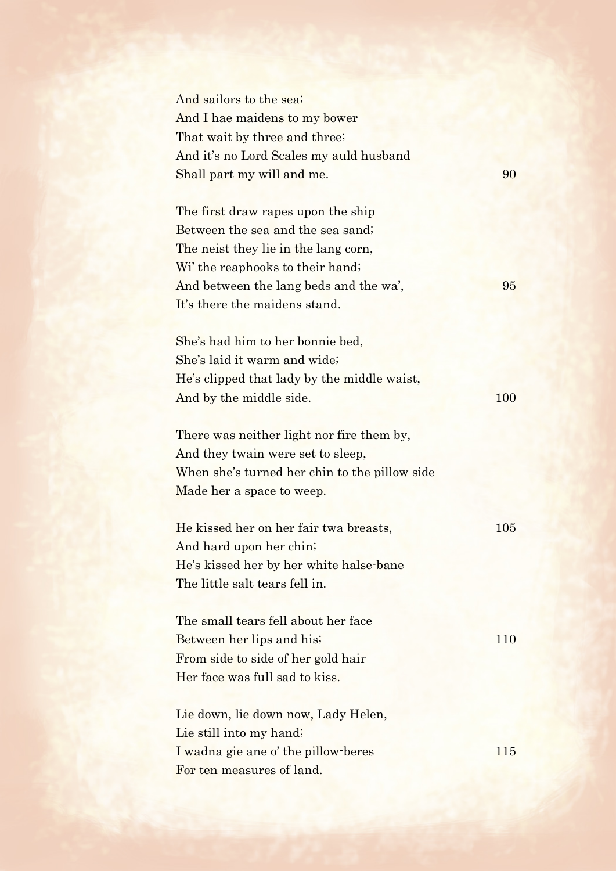| And sailors to the sea;                       |     |
|-----------------------------------------------|-----|
| And I hae maidens to my bower                 |     |
| That wait by three and three;                 |     |
| And it's no Lord Scales my auld husband       |     |
| Shall part my will and me.                    | 90  |
| The first draw rapes upon the ship            |     |
| Between the sea and the sea sand;             |     |
| The neist they lie in the lang corn,          |     |
| Wi' the reaphooks to their hand;              |     |
| And between the lang beds and the wa',        | 95  |
| It's there the maidens stand.                 |     |
|                                               |     |
| She's had him to her bonnie bed,              |     |
| She's laid it warm and wide;                  |     |
| He's clipped that lady by the middle waist,   |     |
| And by the middle side.                       | 100 |
|                                               |     |
| There was neither light nor fire them by,     |     |
| And they twain were set to sleep,             |     |
| When she's turned her chin to the pillow side |     |
| Made her a space to weep.                     |     |
|                                               |     |
| He kissed her on her fair twa breasts,        | 105 |
| And hard upon her chin;                       |     |
| He's kissed her by her white halse-bane       |     |
| The little salt tears fell in.                |     |
| The small tears fell about her face           |     |
| Between her lips and his;                     | 110 |
| From side to side of her gold hair            |     |
| Her face was full sad to kiss.                |     |
|                                               |     |
| Lie down, lie down now, Lady Helen,           |     |
| Lie still into my hand;                       |     |
| I wadna gie ane o' the pillow-beres           | 115 |
| For ten measures of land.                     |     |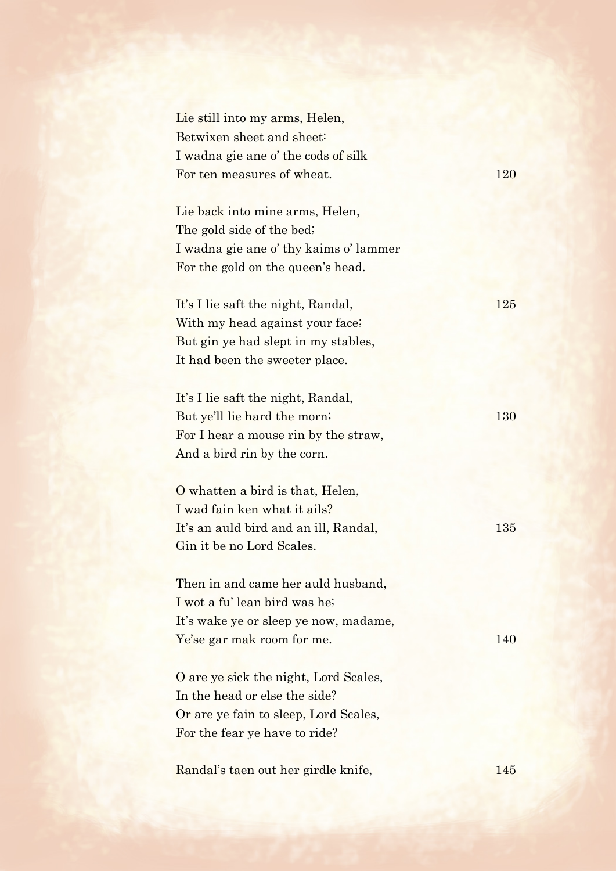| Lie still into my arms, Helen,<br>Betwixen sheet and sheet:<br>I wadna gie ane o' the cods of silk                                               |     |
|--------------------------------------------------------------------------------------------------------------------------------------------------|-----|
| For ten measures of wheat.                                                                                                                       | 120 |
| Lie back into mine arms, Helen,<br>The gold side of the bed;<br>I wadna gie ane o' thy kaims o' lammer<br>For the gold on the queen's head.      |     |
| It's I lie saft the night, Randal,<br>With my head against your face;<br>But gin ye had slept in my stables,<br>It had been the sweeter place.   | 125 |
| It's I lie saft the night, Randal,<br>But ye'll lie hard the morn;<br>For I hear a mouse rin by the straw,<br>And a bird rin by the corn.        | 130 |
| O whatten a bird is that, Helen,<br>I wad fain ken what it ails?<br>It's an auld bird and an ill, Randal,<br>Gin it be no Lord Scales.           | 135 |
| Then in and came her auld husband,<br>I wot a fu' lean bird was he;<br>It's wake ye or sleep ye now, madame,<br>Ye'se gar mak room for me.       | 140 |
| O are ye sick the night, Lord Scales,<br>In the head or else the side?<br>Or are ye fain to sleep, Lord Scales,<br>For the fear ye have to ride? |     |
| Randal's taen out her girdle knife,                                                                                                              | 145 |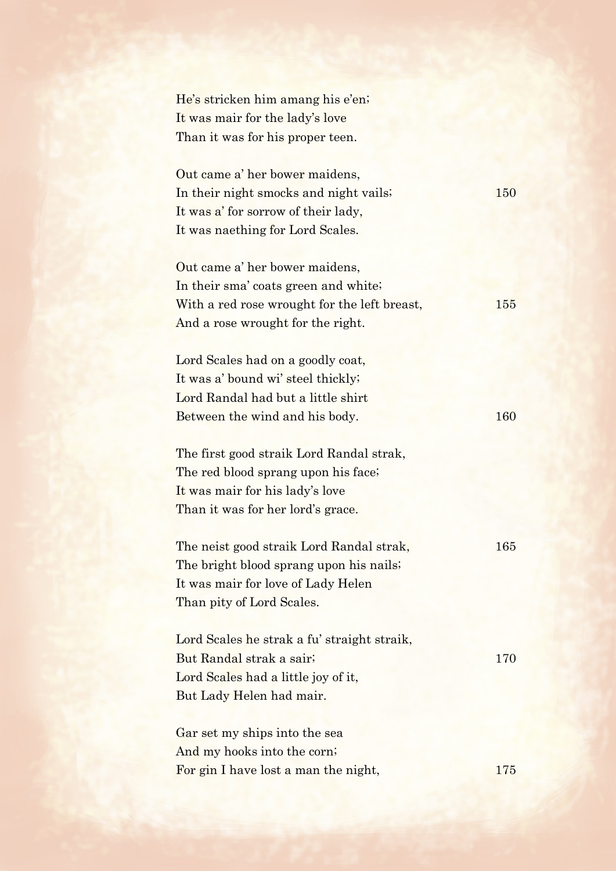| He's stricken him amang his e'en;<br>It was mair for the lady's love<br>Than it was for his proper teen.                                                    |     |
|-------------------------------------------------------------------------------------------------------------------------------------------------------------|-----|
| Out came a' her bower maidens,<br>In their night smocks and night vails;<br>It was a' for sorrow of their lady,<br>It was naething for Lord Scales.         | 150 |
| Out came a' her bower maidens,<br>In their sma' coats green and white;<br>With a red rose wrought for the left breast,<br>And a rose wrought for the right. | 155 |
| Lord Scales had on a goodly coat,<br>It was a' bound wi' steel thickly;<br>Lord Randal had but a little shirt<br>Between the wind and his body.             | 160 |
| The first good straik Lord Randal strak,<br>The red blood sprang upon his face;<br>It was mair for his lady's love<br>Than it was for her lord's grace.     |     |
| The neist good straik Lord Randal strak,<br>The bright blood sprang upon his nails;<br>It was mair for love of Lady Helen<br>Than pity of Lord Scales.      | 165 |
| Lord Scales he strak a fu' straight straik,<br>But Randal strak a sair;<br>Lord Scales had a little joy of it,<br>But Lady Helen had mair.                  | 170 |
| Gar set my ships into the sea<br>And my hooks into the corn;<br>For gin I have lost a man the night,                                                        | 175 |